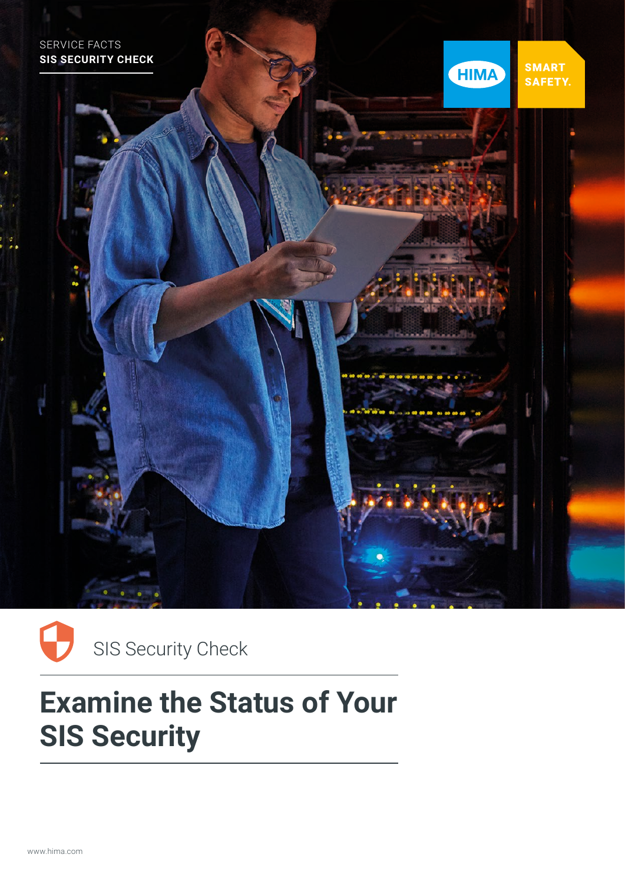



# **Examine the Status of Your SIS Security**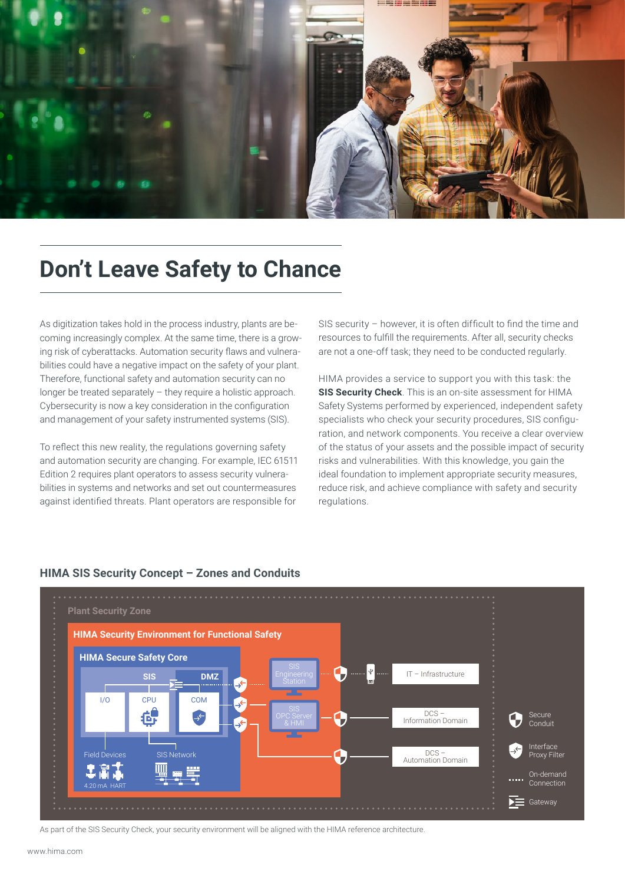

### **Don't Leave Safety to Chance**

As digitization takes hold in the process industry, plants are becoming increasingly complex. At the same time, there is a growing risk of cyberattacks. Automation security flaws and vulnerabilities could have a negative impact on the safety of your plant. Therefore, functional safety and automation security can no longer be treated separately – they require a holistic approach. Cybersecurity is now a key consideration in the configuration and management of your safety instrumented systems (SIS).

To reflect this new reality, the regulations governing safety and automation security are changing. For example, IEC 61511 Edition 2 requires plant operators to assess security vulnerabilities in systems and networks and set out countermeasures against identified threats. Plant operators are responsible for

SIS security – however, it is often difficult to find the time and resources to fulfill the requirements. After all, security checks are not a one-off task; they need to be conducted regularly.

HIMA provides a service to support you with this task: the **SIS Security Check**. This is an on-site assessment for HIMA Safety Systems performed by experienced, independent safety specialists who check your security procedures, SIS configuration, and network components. You receive a clear overview of the status of your assets and the possible impact of security risks and vulnerabilities. With this knowledge, you gain the ideal foundation to implement appropriate security measures, reduce risk, and achieve compliance with safety and security **regulations** 



#### **HIMA SIS Security Concept – Zones and Conduits**

As part of the SIS Security Check, your security environment will be aligned with the HIMA reference architecture.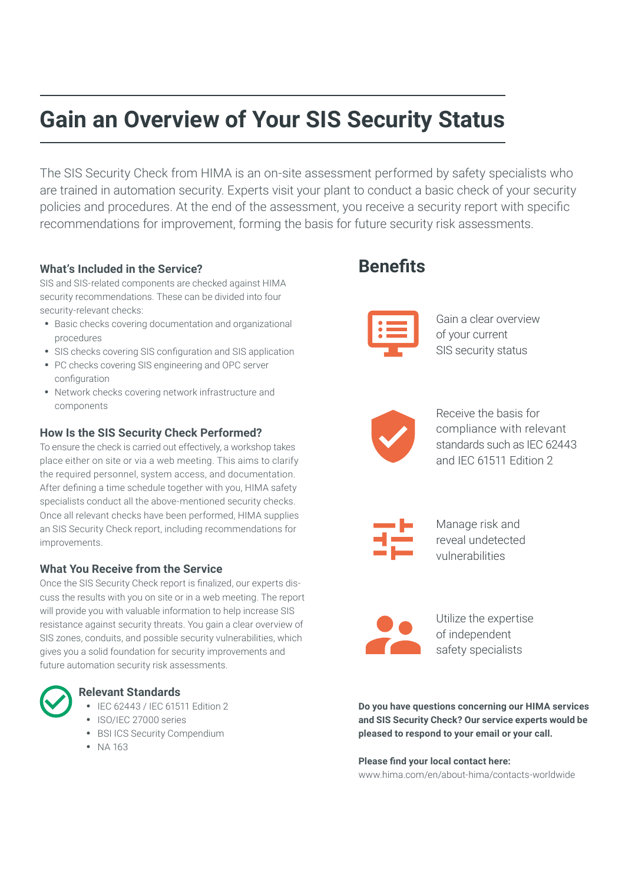## **Gain an Overview of Your SIS Security Status**

The SIS Security Check from HIMA is an on-site assessment performed by safety specialists who are trained in automation security. Experts visit your plant to conduct a basic check of your security policies and procedures. At the end of the assessment, you receive a security report with specific recommendations for improvement, forming the basis for future security risk assessments.

#### **What's Included in the Service?**

SIS and SIS-related components are checked against HIMA security recommendations. These can be divided into four security-relevant checks:

- Basic checks covering documentation and organizational procedures
- SIS checks covering SIS configuration and SIS application
- PC checks covering SIS engineering and OPC server configuration
- Network checks covering network infrastructure and components

#### **How Is the SIS Security Check Performed?**

To ensure the check is carried out effectively, a workshop takes place either on site or via a web meeting. This aims to clarify the required personnel, system access, and documentation. After defining a time schedule together with you, HIMA safety specialists conduct all the above-mentioned security checks. Once all relevant checks have been performed, HIMA supplies an SIS Security Check report, including recommendations for improvements.

#### **What You Receive from the Service**

Once the SIS Security Check report is finalized, our experts discuss the results with you on site or in a web meeting. The report will provide you with valuable information to help increase SIS resistance against security threats. You gain a clear overview of SIS zones, conduits, and possible security vulnerabilities, which gives you a solid foundation for security improvements and future automation security risk assessments.

#### **Relevant Standards** • IEC 62443 / IEC 61511 Edition 2

- ISO/IEC 27000 series
- BSI ICS Security Compendium
- NA 163

### **Benefits**



Gain a clear overview of your current SIS security status



Receive the basis for compliance with relevant standards such as IEC 62443 and IEC 61511 Edition 2



Manage risk and reveal undetected vulnerabilities



Utilize the expertise of independent safety specialists

**Do you have questions concerning our HIMA services and SIS Security Check? Our service experts would be pleased to respond to your email or your call.**

**Please find your local contact here:** www.hima.com/en/about-hima/contacts-worldwide